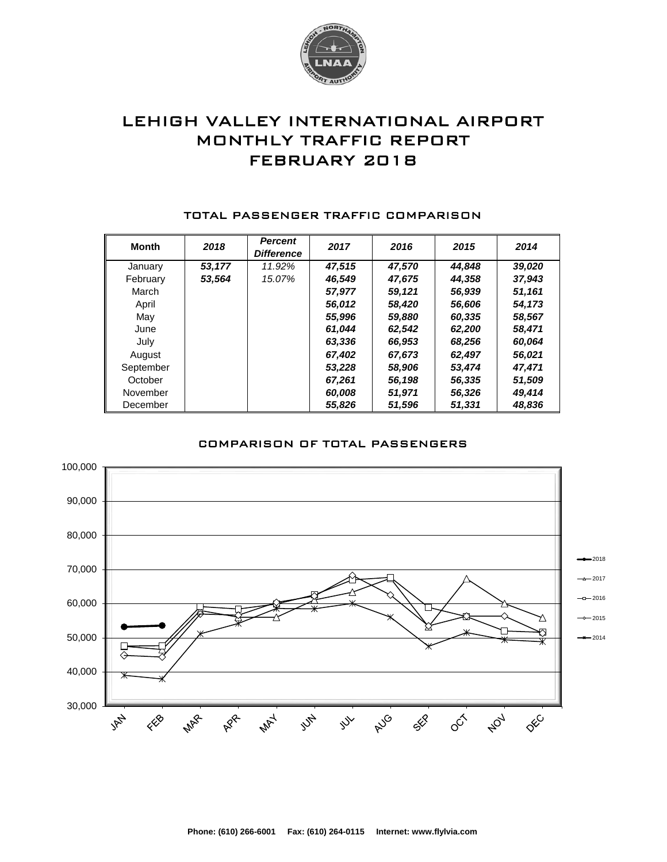

# LEHIGH VALLEY INTERNATIONAL AIRPORT MONTHLY TRAFFIC REPORT FEBRUARY 2018

| <b>Month</b> | 2018   | <b>Percent</b><br><b>Difference</b> | 2017   | 2016   | 2015   | 2014   |
|--------------|--------|-------------------------------------|--------|--------|--------|--------|
| January      | 53,177 | 11.92%                              | 47,515 | 47,570 | 44.848 | 39,020 |
| February     | 53,564 | 15.07%                              | 46,549 | 47,675 | 44,358 | 37,943 |
| March        |        |                                     | 57,977 | 59,121 | 56,939 | 51,161 |
| April        |        |                                     | 56,012 | 58,420 | 56,606 | 54,173 |
| May          |        |                                     | 55,996 | 59,880 | 60,335 | 58,567 |
| June         |        |                                     | 61.044 | 62,542 | 62,200 | 58,471 |
| July         |        |                                     | 63,336 | 66,953 | 68,256 | 60,064 |
| August       |        |                                     | 67.402 | 67.673 | 62,497 | 56,021 |
| September    |        |                                     | 53.228 | 58,906 | 53,474 | 47,471 |
| October      |        |                                     | 67,261 | 56,198 | 56,335 | 51,509 |
| November     |        |                                     | 60,008 | 51,971 | 56,326 | 49,414 |
| December     |        |                                     | 55.826 | 51,596 | 51,331 | 48.836 |

#### TOTAL PASSENGER TRAFFIC COMPARISON

### COMPARISON OF TOTAL PASSENGERS

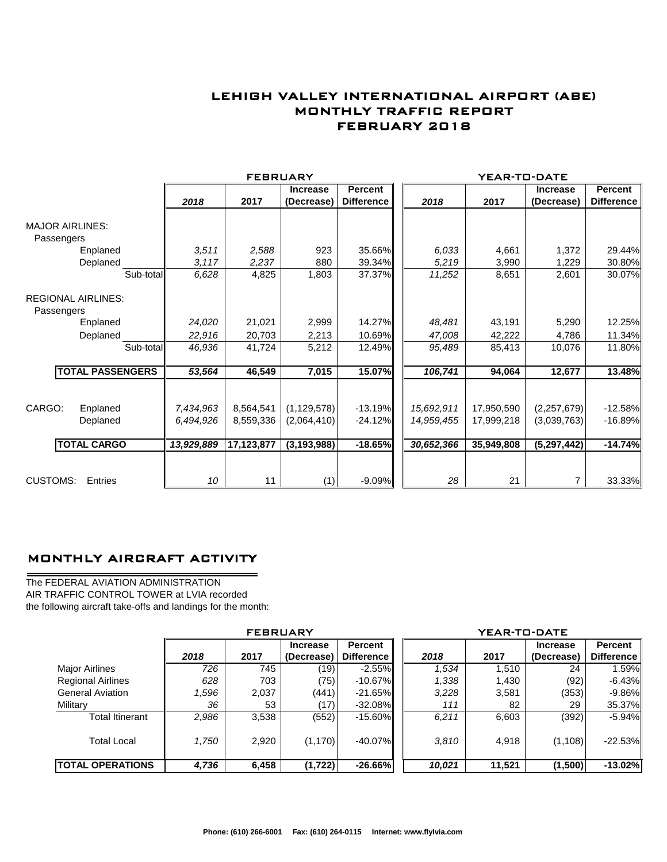## LEHIGH VALLEY INTERNATIONAL AIRPORT (ABE) MONTHLY TRAFFIC REPORT FEBRUARY 2018

|                                         |                         |            | <b>FEBRUARY</b> |                 |                   | YEAR-TO-DATE |            |                 |                   |  |  |
|-----------------------------------------|-------------------------|------------|-----------------|-----------------|-------------------|--------------|------------|-----------------|-------------------|--|--|
|                                         |                         |            |                 | <b>Increase</b> | Percent           |              |            | <b>Increase</b> | <b>Percent</b>    |  |  |
|                                         |                         | 2018       | 2017            | (Decrease)      | <b>Difference</b> | 2018         | 2017       | (Decrease)      | <b>Difference</b> |  |  |
| <b>MAJOR AIRLINES:</b><br>Passengers    |                         |            |                 |                 |                   |              |            |                 |                   |  |  |
|                                         | Enplaned                | 3.511      | 2,588           | 923             | 35.66%            | 6,033        | 4,661      | 1,372           | 29.44%            |  |  |
|                                         | Deplaned                | 3,117      | 2,237           | 880             | 39.34%            | 5,219        | 3,990      | 1,229           | 30.80%            |  |  |
|                                         | Sub-total               | 6,628      | 4,825           | 1.803           | 37.37%            | 11,252       | 8,651      | 2,601           | 30.07%            |  |  |
| <b>REGIONAL AIRLINES:</b><br>Passengers |                         |            |                 |                 |                   |              |            |                 |                   |  |  |
|                                         | Enplaned                | 24,020     | 21,021          | 2,999           | 14.27%            | 48,481       | 43,191     | 5,290           | 12.25%            |  |  |
|                                         | Deplaned                | 22,916     | 20,703          | 2,213           | 10.69%            | 47,008       | 42,222     | 4,786           | 11.34%            |  |  |
|                                         | Sub-total               | 46.936     | 41,724          | 5,212           | 12.49%            | 95,489       | 85,413     | 10,076          | 11.80%            |  |  |
|                                         | <b>TOTAL PASSENGERS</b> | 53,564     | 46,549          | 7,015           | 15.07%            | 106,741      | 94,064     | 12,677          | 13.48%            |  |  |
|                                         |                         |            |                 |                 |                   |              |            |                 |                   |  |  |
| CARGO:                                  | Enplaned                | 7,434,963  | 8,564,541       | (1, 129, 578)   | $-13.19%$         | 15,692,911   | 17,950,590 | (2,257,679)     | $-12.58%$         |  |  |
|                                         | Deplaned                | 6,494,926  | 8,559,336       | (2,064,410)     | $-24.12%$         | 14,959,455   | 17,999,218 | (3,039,763)     | $-16.89%$         |  |  |
|                                         | <b>TOTAL CARGO</b>      | 13,929,889 | 17,123,877      | (3, 193, 988)   | $-18.65%$         | 30,652,366   | 35,949,808 | (5,297,442)     | $-14.74%$         |  |  |
| <b>CUSTOMS:</b>                         | Entries                 | 10         | 11              | (1)             | $-9.09%$          | 28           | 21         |                 | 33.33%            |  |  |

### MONTHLY AIRCRAFT ACTIVITY

The FEDERAL AVIATION ADMINISTRATION AIR TRAFFIC CONTROL TOWER at LVIA recorded the following aircraft take-offs and landings for the month:

L,

|                          | <b>FEBRUARY</b> |       |                               |                                     |  | YEAR-TO-DATE |        |                               |                              |  |  |
|--------------------------|-----------------|-------|-------------------------------|-------------------------------------|--|--------------|--------|-------------------------------|------------------------------|--|--|
|                          | 2018            | 2017  | <b>Increase</b><br>(Decrease) | <b>Percent</b><br><b>Difference</b> |  | 2018         | 2017   | <b>Increase</b><br>(Decrease) | Percent<br><b>Difference</b> |  |  |
| <b>Major Airlines</b>    | 726             | 745   | (19)                          | $-2.55\%$                           |  | 1,534        | 1,510  | 24                            | 1.59%                        |  |  |
| <b>Regional Airlines</b> | 628             | 703   | (75)                          | $-10.67\%$                          |  | 1,338        | 1,430  | (92)                          | $-6.43\%$                    |  |  |
| <b>General Aviation</b>  | .596            | 2,037 | (441)                         | $-21.65%$                           |  | 3,228        | 3,581  | (353)                         | $-9.86\%$                    |  |  |
| Military                 | 36              | 53    | (17)                          | $-32.08%$                           |  | 111          | 82     | 29                            | 35.37%                       |  |  |
| <b>Total Itinerant</b>   | 2,986           | 3,538 | (552)                         | $-15.60\%$                          |  | 6,211        | 6,603  | (392)                         | $-5.94\%$                    |  |  |
| <b>Total Local</b>       | 1,750           | 2,920 | (1, 170)                      | $-40.07\%$                          |  | 3,810        | 4,918  | (1, 108)                      | $-22.53\%$                   |  |  |
| <b>TOTAL OPERATIONS</b>  | 4,736           | 6,458 | (1, 722)                      | $-26.66\%$                          |  | 10,021       | 11,521 | (1,500)                       | $-13.02%$                    |  |  |